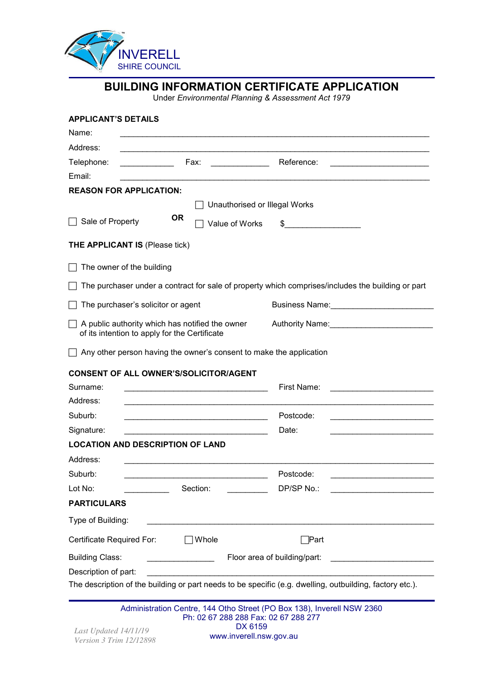

| <b>APPLICANT'S DETAILS</b>                                                                       |                                                                                                                                                                                                                                                                                                 |                                                                                                   |                                                                                                                       |
|--------------------------------------------------------------------------------------------------|-------------------------------------------------------------------------------------------------------------------------------------------------------------------------------------------------------------------------------------------------------------------------------------------------|---------------------------------------------------------------------------------------------------|-----------------------------------------------------------------------------------------------------------------------|
| Name:                                                                                            | <u> 1989 - Johann Stoff, deutscher Stoff, der Stoff, der Stoff, der Stoff, der Stoff, der Stoff, der Stoff, der S</u>                                                                                                                                                                           |                                                                                                   |                                                                                                                       |
| Address:                                                                                         |                                                                                                                                                                                                                                                                                                 |                                                                                                   |                                                                                                                       |
| Telephone:                                                                                       | <b>Example 2018</b> Fax: Fax: Reference:                                                                                                                                                                                                                                                        |                                                                                                   | <u> 1989 - Johann John Stone, markin film ar yn y breninn y breninn y breninn y breninn y breninn y breninn y bre</u> |
| Email:                                                                                           | <u> 1989 - Johann Stoff, amerikansk politiker (d. 1989)</u>                                                                                                                                                                                                                                     |                                                                                                   |                                                                                                                       |
| <b>REASON FOR APPLICATION:</b>                                                                   |                                                                                                                                                                                                                                                                                                 |                                                                                                   |                                                                                                                       |
|                                                                                                  | Unauthorised or Illegal Works                                                                                                                                                                                                                                                                   |                                                                                                   |                                                                                                                       |
| Sale of Property                                                                                 | <b>OR</b><br>Value of Works                                                                                                                                                                                                                                                                     | $\frac{1}{2}$                                                                                     |                                                                                                                       |
| <b>THE APPLICANT IS (Please tick)</b>                                                            |                                                                                                                                                                                                                                                                                                 |                                                                                                   |                                                                                                                       |
| The owner of the building                                                                        |                                                                                                                                                                                                                                                                                                 |                                                                                                   |                                                                                                                       |
|                                                                                                  |                                                                                                                                                                                                                                                                                                 | The purchaser under a contract for sale of property which comprises/includes the building or part |                                                                                                                       |
| The purchaser's solicitor or agent                                                               |                                                                                                                                                                                                                                                                                                 |                                                                                                   |                                                                                                                       |
| A public authority which has notified the owner<br>of its intention to apply for the Certificate |                                                                                                                                                                                                                                                                                                 |                                                                                                   |                                                                                                                       |
|                                                                                                  |                                                                                                                                                                                                                                                                                                 | Authority Name: Manual Authority Name:                                                            |                                                                                                                       |
|                                                                                                  | Any other person having the owner's consent to make the application                                                                                                                                                                                                                             |                                                                                                   |                                                                                                                       |
| <b>CONSENT OF ALL OWNER'S/SOLICITOR/AGENT</b>                                                    |                                                                                                                                                                                                                                                                                                 |                                                                                                   |                                                                                                                       |
| Surname:                                                                                         |                                                                                                                                                                                                                                                                                                 | First Name:                                                                                       |                                                                                                                       |
|                                                                                                  |                                                                                                                                                                                                                                                                                                 |                                                                                                   |                                                                                                                       |
| Address:<br>Suburb:                                                                              | <u> 1989 - Johann John Stein, markin fan it ferskearre fan it ferskearre fan it ferskearre fan it ferskearre fan</u>                                                                                                                                                                            | Postcode:                                                                                         | the control of the control of the control of the control of the control of                                            |
| Signature:                                                                                       |                                                                                                                                                                                                                                                                                                 | Date:                                                                                             |                                                                                                                       |
| <b>LOCATION AND DESCRIPTION OF LAND</b>                                                          |                                                                                                                                                                                                                                                                                                 |                                                                                                   |                                                                                                                       |
|                                                                                                  |                                                                                                                                                                                                                                                                                                 |                                                                                                   |                                                                                                                       |
| Suburb:                                                                                          |                                                                                                                                                                                                                                                                                                 | Postcode:                                                                                         |                                                                                                                       |
| Address:<br>Lot No:                                                                              | Section:                                                                                                                                                                                                                                                                                        | DP/SP No.:                                                                                        |                                                                                                                       |
| <b>PARTICULARS</b>                                                                               |                                                                                                                                                                                                                                                                                                 |                                                                                                   |                                                                                                                       |
| Type of Building:                                                                                |                                                                                                                                                                                                                                                                                                 |                                                                                                   |                                                                                                                       |
| Certificate Required For:                                                                        | Whole                                                                                                                                                                                                                                                                                           | ่  Part                                                                                           |                                                                                                                       |
| <b>Building Class:</b>                                                                           | $\frac{1}{2}$ . The contract of $\frac{1}{2}$ , $\frac{1}{2}$ , $\frac{1}{2}$ , $\frac{1}{2}$ , $\frac{1}{2}$ , $\frac{1}{2}$ , $\frac{1}{2}$ , $\frac{1}{2}$ , $\frac{1}{2}$ , $\frac{1}{2}$ , $\frac{1}{2}$ , $\frac{1}{2}$ , $\frac{1}{2}$ , $\frac{1}{2}$ , $\frac{1}{2}$ , $\frac{1}{2}$ , | Floor area of building/part:                                                                      |                                                                                                                       |